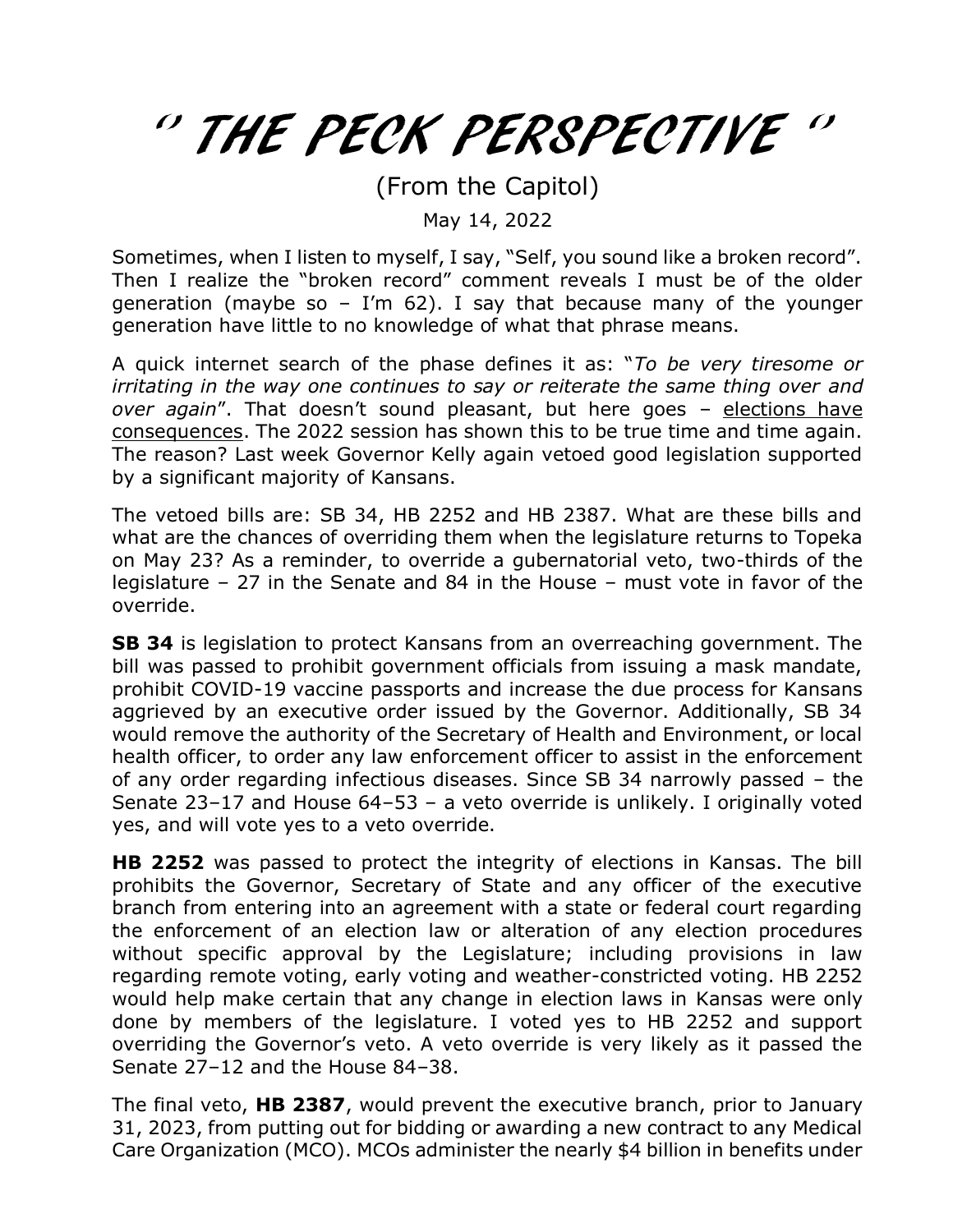## '' THE PECK PERSPECTIVE ''

(From the Capitol)

May 14, 2022

Sometimes, when I listen to myself, I say, "Self, you sound like a broken record". Then I realize the "broken record" comment reveals I must be of the older generation (maybe so - I'm 62). I say that because many of the younger generation have little to no knowledge of what that phrase means.

A quick internet search of the phase defines it as: "*To be very tiresome or irritating in the way one continues to say or reiterate the same thing over and over again*". That doesn't sound pleasant, but here goes – elections have consequences. The 2022 session has shown this to be true time and time again. The reason? Last week Governor Kelly again vetoed good legislation supported by a significant majority of Kansans.

The vetoed bills are: SB 34, HB 2252 and HB 2387. What are these bills and what are the chances of overriding them when the legislature returns to Topeka on May 23? As a reminder, to override a gubernatorial veto, two-thirds of the legislature – 27 in the Senate and 84 in the House – must vote in favor of the override.

**SB 34** is legislation to protect Kansans from an overreaching government. The bill was passed to prohibit government officials from issuing a mask mandate, prohibit COVID-19 vaccine passports and increase the due process for Kansans aggrieved by an executive order issued by the Governor. Additionally, SB 34 would remove the authority of the Secretary of Health and Environment, or local health officer, to order any law enforcement officer to assist in the enforcement of any order regarding infectious diseases. Since SB 34 narrowly passed – the Senate 23–17 and House 64–53 – a veto override is unlikely. I originally voted yes, and will vote yes to a veto override.

**HB 2252** was passed to protect the integrity of elections in Kansas. The bill prohibits the Governor, Secretary of State and any officer of the executive branch from entering into an agreement with a state or federal court regarding the enforcement of an election law or alteration of any election procedures without specific approval by the Legislature; including provisions in law regarding remote voting, early voting and weather-constricted voting. HB 2252 would help make certain that any change in election laws in Kansas were only done by members of the legislature. I voted yes to HB 2252 and support overriding the Governor's veto. A veto override is very likely as it passed the Senate 27–12 and the House 84–38.

The final veto, **HB 2387**, would prevent the executive branch, prior to January 31, 2023, from putting out for bidding or awarding a new contract to any Medical Care Organization (MCO). MCOs administer the nearly \$4 billion in benefits under